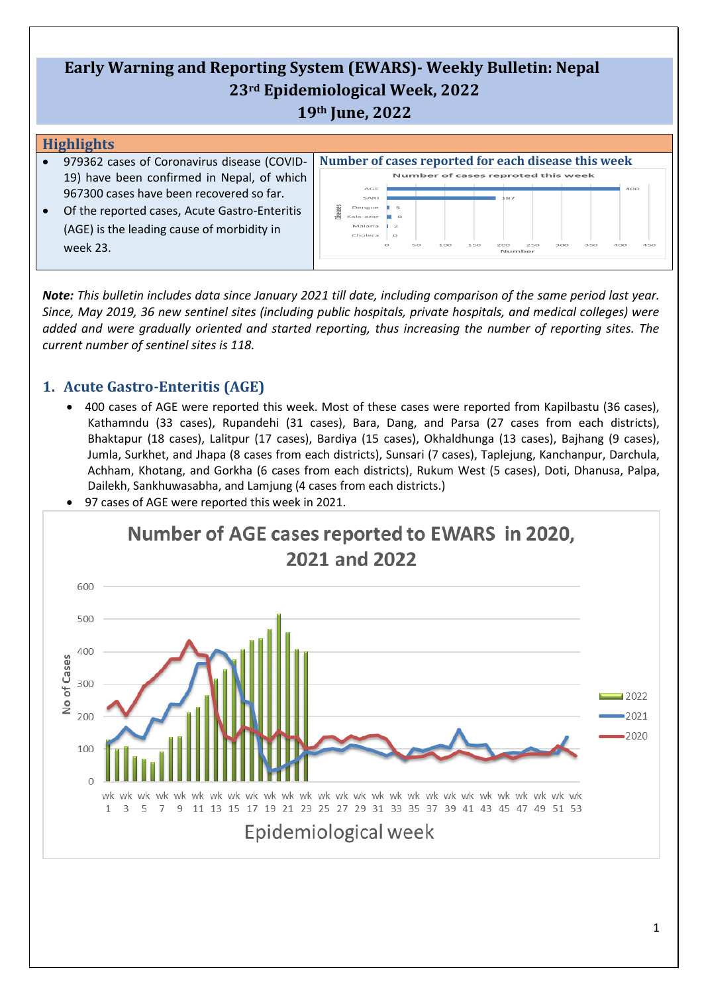# **Early Warning and Reporting System (EWARS)- Weekly Bulletin: Nepal 23rd Epidemiological Week, 2022 19th June, 2022**

#### **Highlights**

- 979362 cases of Coronavirus disease (COVID-19) have been confirmed in Nepal, of which 967300 cases have been recovered so far.
- Of the reported cases, Acute Gastro-Enteritis (AGE) is the leading cause of morbidity in week 23.

|          | Number of cases reported for each disease this week |            |    |     |     |                                    |     |     |     |     |     |
|----------|-----------------------------------------------------|------------|----|-----|-----|------------------------------------|-----|-----|-----|-----|-----|
|          |                                                     |            |    |     |     | Number of cases reproted this week |     |     |     |     |     |
|          | AGE                                                 |            |    |     |     |                                    |     |     |     | 400 |     |
|          | SARI                                                |            |    |     |     | 187                                |     |     |     |     |     |
| liseases | Dengue                                              | 5          |    |     |     |                                    |     |     |     |     |     |
|          | Kala-azar                                           | 只          |    |     |     |                                    |     |     |     |     |     |
|          | Malaria                                             | $\geq$     |    |     |     |                                    |     |     |     |     |     |
|          | Cholera                                             | $\Omega$   |    |     |     |                                    |     |     |     |     |     |
|          |                                                     | $\bigcirc$ | 50 | 100 | 150 | 200                                | 250 | 300 | 350 | 400 | 450 |
|          |                                                     |            |    |     |     | Number                             |     |     |     |     |     |

*Note: This bulletin includes data since January 2021 till date, including comparison of the same period last year. Since, May 2019, 36 new sentinel sites (including public hospitals, private hospitals, and medical colleges) were added and were gradually oriented and started reporting, thus increasing the number of reporting sites. The current number of sentinel sites is 118.*

## **1. Acute Gastro-Enteritis (AGE)**

• 400 cases of AGE were reported this week. Most of these cases were reported from Kapilbastu (36 cases), Kathamndu (33 cases), Rupandehi (31 cases), Bara, Dang, and Parsa (27 cases from each districts), Bhaktapur (18 cases), Lalitpur (17 cases), Bardiya (15 cases), Okhaldhunga (13 cases), Bajhang (9 cases), Jumla, Surkhet, and Jhapa (8 cases from each districts), Sunsari (7 cases), Taplejung, Kanchanpur, Darchula, Achham, Khotang, and Gorkha (6 cases from each districts), Rukum West (5 cases), Doti, Dhanusa, Palpa, Dailekh, Sankhuwasabha, and Lamjung (4 cases from each districts.)



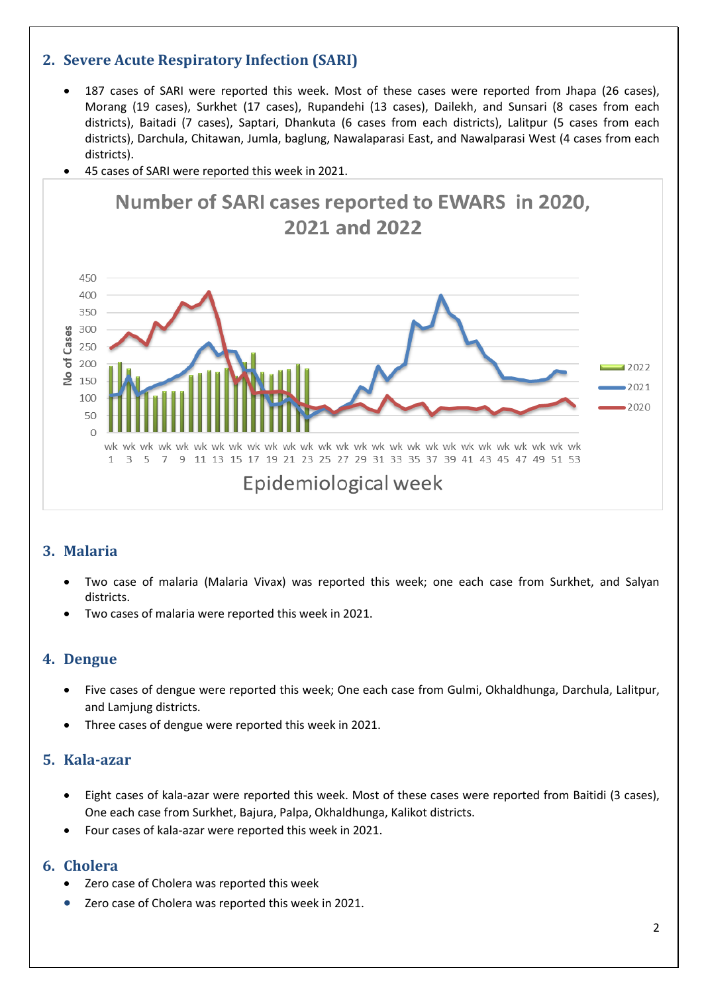## **2. Severe Acute Respiratory Infection (SARI)**

- 187 cases of SARI were reported this week. Most of these cases were reported from Jhapa (26 cases), Morang (19 cases), Surkhet (17 cases), Rupandehi (13 cases), Dailekh, and Sunsari (8 cases from each districts), Baitadi (7 cases), Saptari, Dhankuta (6 cases from each districts), Lalitpur (5 cases from each districts), Darchula, Chitawan, Jumla, baglung, Nawalaparasi East, and Nawalparasi West (4 cases from each districts).
- 45 cases of SARI were reported this week in 2021.



## **3. Malaria**

- Two case of malaria (Malaria Vivax) was reported this week; one each case from Surkhet, and Salyan districts.
- Two cases of malaria were reported this week in 2021.

### **4. Dengue**

- Five cases of dengue were reported this week; One each case from Gulmi, Okhaldhunga, Darchula, Lalitpur, and Lamjung districts.
- Three cases of dengue were reported this week in 2021.

### **5. Kala-azar**

- Eight cases of kala-azar were reported this week. Most of these cases were reported from Baitidi (3 cases), One each case from Surkhet, Bajura, Palpa, Okhaldhunga, Kalikot districts.
- Four cases of kala-azar were reported this week in 2021.

### **6. Cholera**

- Zero case of Cholera was reported this week
- Zero case of Cholera was reported this week in 2021.